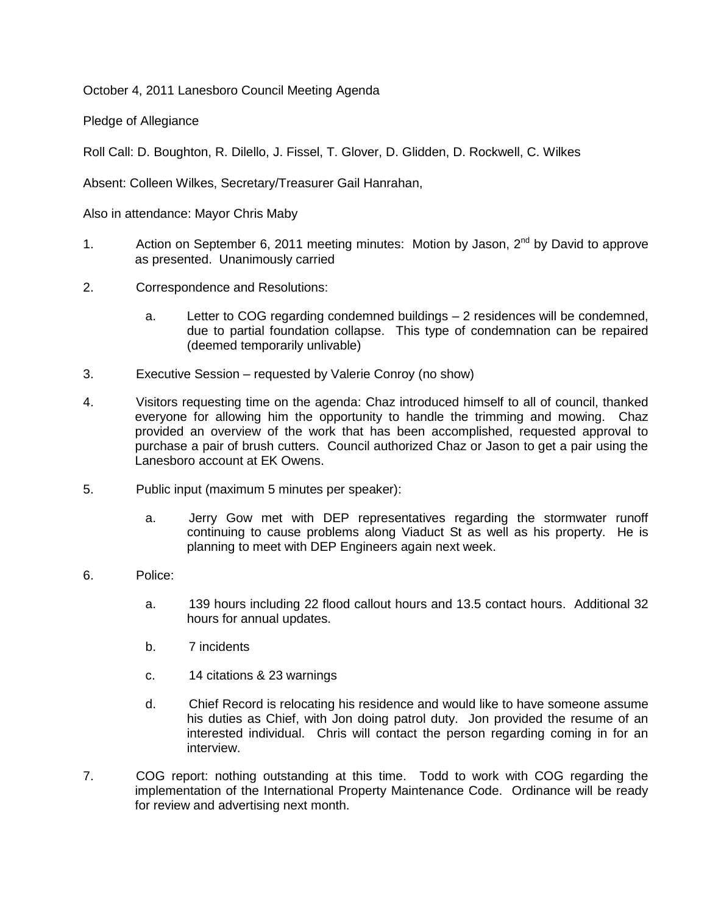October 4, 2011 Lanesboro Council Meeting Agenda

Pledge of Allegiance

Roll Call: D. Boughton, R. Dilello, J. Fissel, T. Glover, D. Glidden, D. Rockwell, C. Wilkes

Absent: Colleen Wilkes, Secretary/Treasurer Gail Hanrahan,

Also in attendance: Mayor Chris Maby

- 1. Action on September 6, 2011 meeting minutes: Motion by Jason,  $2^{nd}$  by David to approve as presented. Unanimously carried
- 2. Correspondence and Resolutions:
	- a. Letter to COG regarding condemned buildings 2 residences will be condemned, due to partial foundation collapse. This type of condemnation can be repaired (deemed temporarily unlivable)
- 3. Executive Session requested by Valerie Conroy (no show)
- 4. Visitors requesting time on the agenda: Chaz introduced himself to all of council, thanked everyone for allowing him the opportunity to handle the trimming and mowing. Chaz provided an overview of the work that has been accomplished, requested approval to purchase a pair of brush cutters. Council authorized Chaz or Jason to get a pair using the Lanesboro account at EK Owens.
- 5. Public input (maximum 5 minutes per speaker):
	- a. Jerry Gow met with DEP representatives regarding the stormwater runoff continuing to cause problems along Viaduct St as well as his property. He is planning to meet with DEP Engineers again next week.
- 6. Police:
	- a. 139 hours including 22 flood callout hours and 13.5 contact hours. Additional 32 hours for annual updates.
	- b. 7 incidents
	- c. 14 citations & 23 warnings
	- d. Chief Record is relocating his residence and would like to have someone assume his duties as Chief, with Jon doing patrol duty. Jon provided the resume of an interested individual. Chris will contact the person regarding coming in for an interview.
- 7. COG report: nothing outstanding at this time. Todd to work with COG regarding the implementation of the International Property Maintenance Code. Ordinance will be ready for review and advertising next month.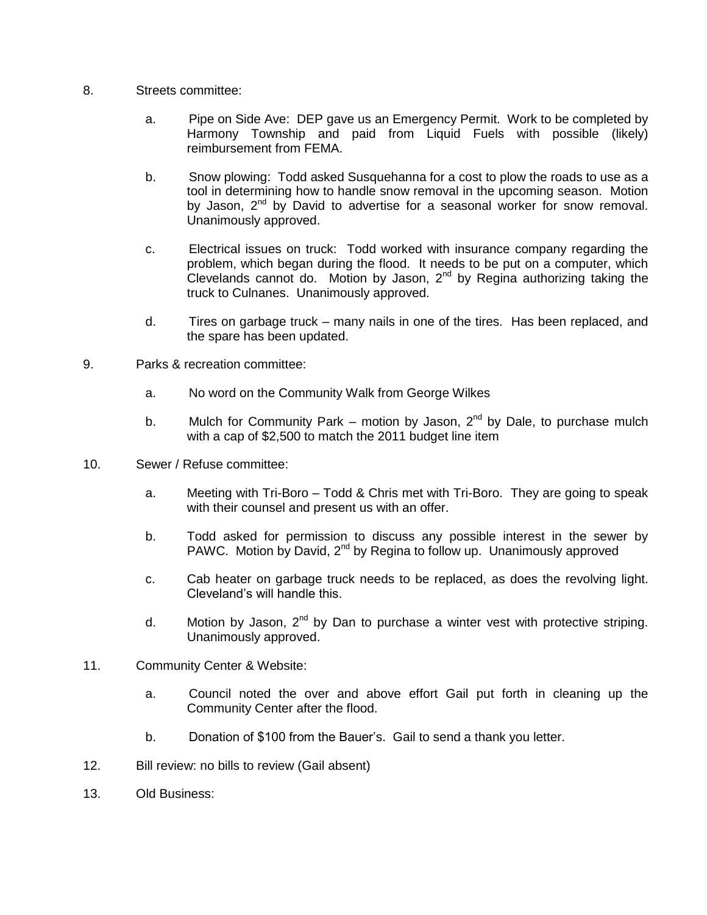- 8. Streets committee:
	- a. Pipe on Side Ave: DEP gave us an Emergency Permit. Work to be completed by Harmony Township and paid from Liquid Fuels with possible (likely) reimbursement from FEMA.
	- b. Snow plowing: Todd asked Susquehanna for a cost to plow the roads to use as a tool in determining how to handle snow removal in the upcoming season. Motion by Jason, 2<sup>nd</sup> by David to advertise for a seasonal worker for snow removal. Unanimously approved.
	- c. Electrical issues on truck: Todd worked with insurance company regarding the problem, which began during the flood. It needs to be put on a computer, which Clevelands cannot do. Motion by Jason,  $2<sup>nd</sup>$  by Regina authorizing taking the truck to Culnanes. Unanimously approved.
	- d. Tires on garbage truck many nails in one of the tires. Has been replaced, and the spare has been updated.
- 9. Parks & recreation committee:
	- a. No word on the Community Walk from George Wilkes
	- b. Mulch for Community Park motion by Jason,  $2^{nd}$  by Dale, to purchase mulch with a cap of \$2,500 to match the 2011 budget line item
- 10. Sewer / Refuse committee:
	- a. Meeting with Tri-Boro Todd & Chris met with Tri-Boro. They are going to speak with their counsel and present us with an offer.
	- b. Todd asked for permission to discuss any possible interest in the sewer by PAWC. Motion by David,  $2^{nd}$  by Regina to follow up. Unanimously approved
	- c. Cab heater on garbage truck needs to be replaced, as does the revolving light. Cleveland's will handle this.
	- d. Motion by Jason,  $2^{nd}$  by Dan to purchase a winter vest with protective striping. Unanimously approved.
- 11. Community Center & Website:
	- a. Council noted the over and above effort Gail put forth in cleaning up the Community Center after the flood.
	- b. Donation of \$100 from the Bauer's. Gail to send a thank you letter.
- 12. Bill review: no bills to review (Gail absent)
- 13. Old Business: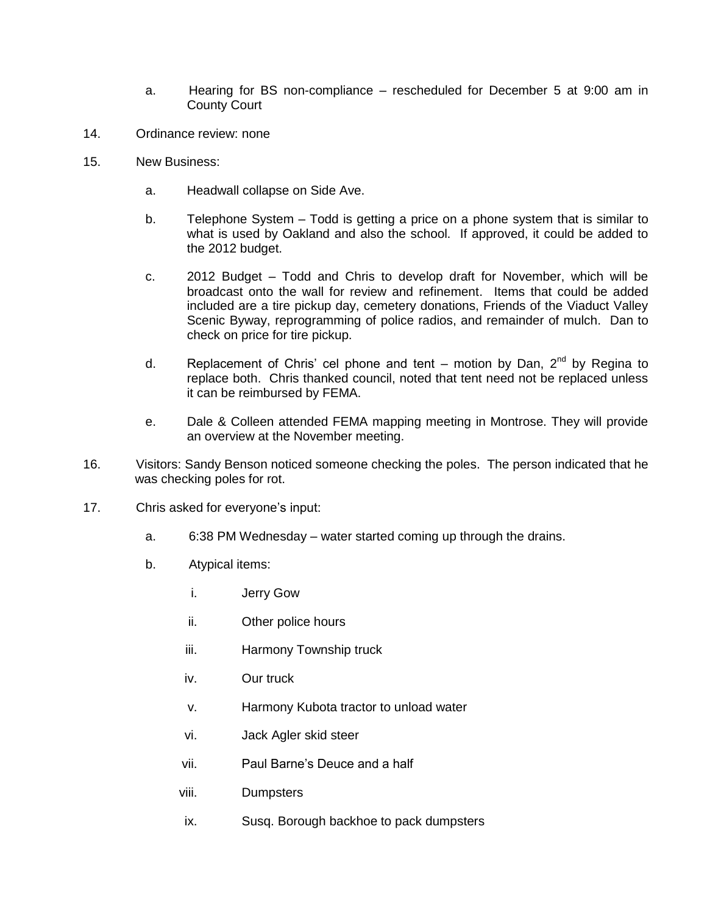- a. Hearing for BS non-compliance rescheduled for December 5 at 9:00 am in County Court
- 14. Ordinance review: none
- 15. New Business:
	- a. Headwall collapse on Side Ave.
	- b. Telephone System Todd is getting a price on a phone system that is similar to what is used by Oakland and also the school. If approved, it could be added to the 2012 budget.
	- c. 2012 Budget Todd and Chris to develop draft for November, which will be broadcast onto the wall for review and refinement. Items that could be added included are a tire pickup day, cemetery donations, Friends of the Viaduct Valley Scenic Byway, reprogramming of police radios, and remainder of mulch. Dan to check on price for tire pickup.
	- d. Replacement of Chris' cel phone and tent motion by Dan,  $2^{nd}$  by Regina to replace both. Chris thanked council, noted that tent need not be replaced unless it can be reimbursed by FEMA.
	- e. Dale & Colleen attended FEMA mapping meeting in Montrose. They will provide an overview at the November meeting.
- 16. Visitors: Sandy Benson noticed someone checking the poles. The person indicated that he was checking poles for rot.
- 17. Chris asked for everyone's input:
	- a. 6:38 PM Wednesday water started coming up through the drains.
	- b. Atypical items:
		- i. Jerry Gow
		- ii. Other police hours
		- iii. Harmony Township truck
		- iv. Our truck
		- v. Harmony Kubota tractor to unload water
		- vi. Jack Agler skid steer
		- vii. Paul Barne's Deuce and a half
		- viii. Dumpsters
		- ix. Susq. Borough backhoe to pack dumpsters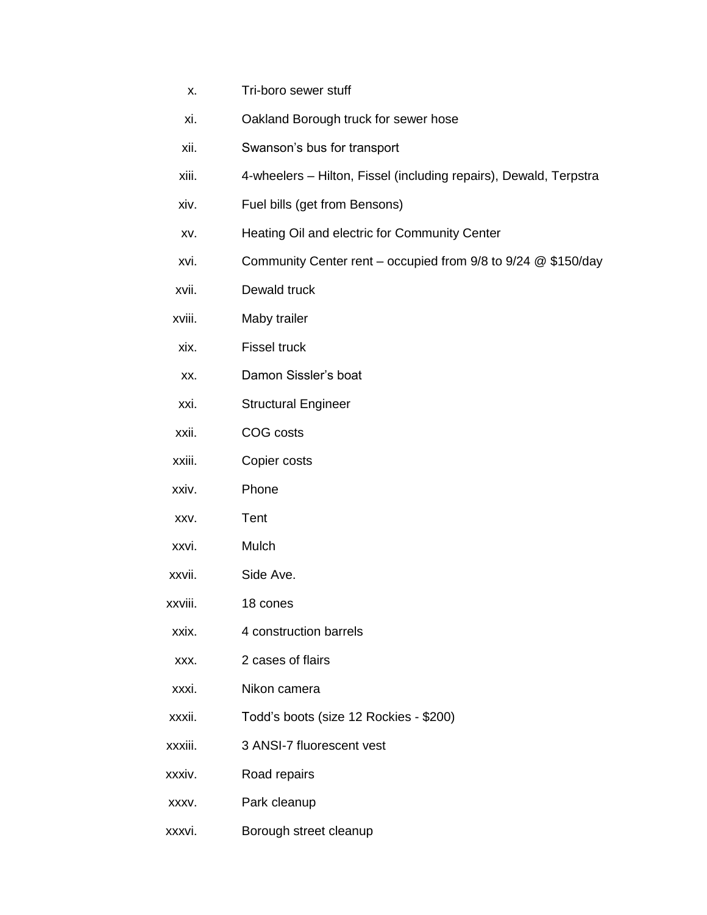- x. Tri-boro sewer stuff
- xi. Oakland Borough truck for sewer hose
- xii. Swanson's bus for transport
- xiii. 4-wheelers Hilton, Fissel (including repairs), Dewald, Terpstra
- xiv. Fuel bills (get from Bensons)
- xv. Heating Oil and electric for Community Center
- xvi. Community Center rent occupied from 9/8 to 9/24 @ \$150/day
- xvii. Dewald truck
- xviii. Maby trailer
- xix. Fissel truck
- xx. Damon Sissler's boat
- xxi. Structural Engineer
- xxii. COG costs
- xxiii. Copier costs
- xxiv. Phone
- xxv. Tent
- xxvi. Mulch
- xxvii. Side Ave.
- xxviii. 18 cones
- xxix. 4 construction barrels
- xxx. 2 cases of flairs
- xxxi. Nikon camera
- xxxii. Todd's boots (size 12 Rockies \$200)
- xxxiii. 3 ANSI-7 fluorescent vest
- xxxiv. Road repairs
- xxxv. Park cleanup
- xxxvi. Borough street cleanup